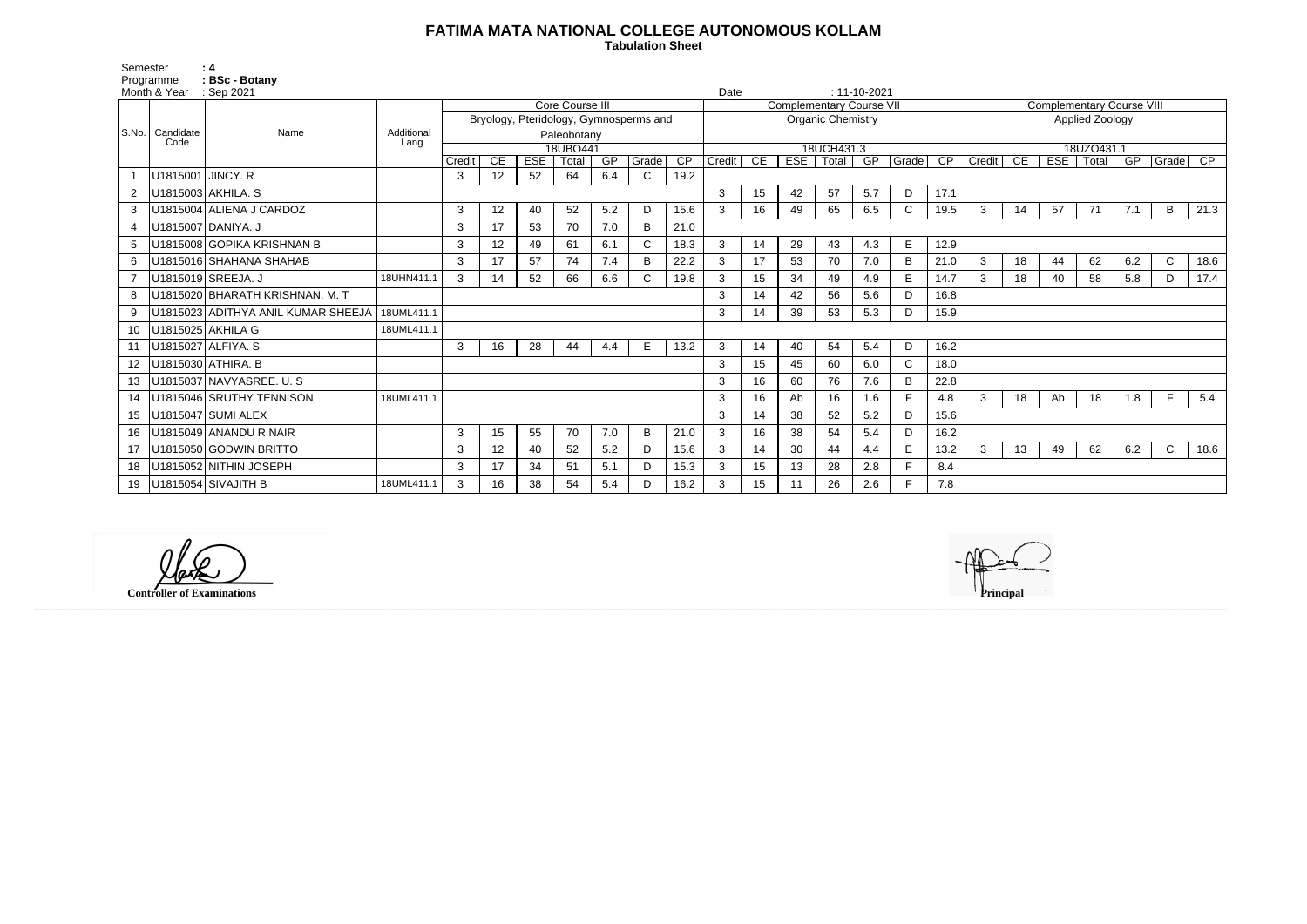## **FATIMA MATA NATIONAL COLLEGE AUTONOMOUS KOLLAM**

 **Tabulation Sheet** 

Semester : 4 Programme : **BSc - Botany** 

|         | Month & Year      | : Sep 2021                                       |            |                                                    |                 |            |       |     |              |                 |                          | Date<br>$: 11 - 10 - 2021$ |     |                  |                                  |              |      |                 |    |    |             |     |              |      |
|---------|-------------------|--------------------------------------------------|------------|----------------------------------------------------|-----------------|------------|-------|-----|--------------|-----------------|--------------------------|----------------------------|-----|------------------|----------------------------------|--------------|------|-----------------|----|----|-------------|-----|--------------|------|
|         |                   | Name                                             |            | Core Course III<br><b>Complementary Course VII</b> |                 |            |       |     |              |                 |                          |                            |     |                  | <b>Complementary Course VIII</b> |              |      |                 |    |    |             |     |              |      |
|         |                   |                                                  |            | Bryology, Pteridology, Gymnosperms and             |                 |            |       |     |              |                 | <b>Organic Chemistry</b> |                            |     |                  |                                  |              |      | Applied Zoology |    |    |             |     |              |      |
|         | S.No.   Candidate |                                                  | Additional | Paleobotany                                        |                 |            |       |     |              |                 |                          |                            |     |                  |                                  |              |      |                 |    |    |             |     |              |      |
|         | Code              |                                                  | Lang       | 18UBO441                                           |                 |            |       |     |              |                 | 18UCH431.3               |                            |     |                  |                                  |              |      | 18UZO431.1      |    |    |             |     |              |      |
|         |                   |                                                  |            | Credit                                             | CE              | <b>ESE</b> | Total | GP  | Grade        | $\overline{CP}$ | Credit                   | CE                         |     | ESE   Total   GP |                                  | Grade        | CP   | Credit CE       |    |    | ESE   Total | GP  | Grade CP     |      |
|         | U1815001 JINCY. R |                                                  |            | 3                                                  | 12              | 52         | 64    | 6.4 | $\mathsf{C}$ | 19.2            |                          |                            |     |                  |                                  |              |      |                 |    |    |             |     |              |      |
|         |                   | U1815003 AKHILA. S                               |            |                                                    |                 |            |       |     |              |                 | 3                        | 15                         | 42  | 57               | 5.7                              | D            | 17.1 |                 |    |    |             |     |              |      |
| 3       |                   | U1815004 ALIENA J CARDOZ                         |            | 3                                                  | 12              | 40         | 52    | 5.2 | D            | 15.6            | 3                        | 16                         | 49  | 65               | 6.5                              | C            | 19.5 | 3               | 14 | 57 | 71          | 7.1 | B            | 21.3 |
| 4       |                   | U1815007 DANIYA. J                               |            | 3                                                  | 17              | 53         | 70    | 7.0 | B            | 21.0            |                          |                            |     |                  |                                  |              |      |                 |    |    |             |     |              |      |
|         |                   | U1815008 GOPIKA KRISHNAN B                       |            | 3                                                  | 12              | 49         | 61    | 6.1 | C.           | 18.3            | 3                        | 14                         | 29  | 43               | 4.3                              | E            | 12.9 |                 |    |    |             |     |              |      |
| 6       |                   | U1815016 SHAHANA SHAHAB                          |            | 3                                                  | 17              | 57         | 74    | 7.4 | В            | 22.2            | 3                        | 17                         | 53  | 70               | 7.0                              | B            | 21.0 | 3               | 18 | 44 | 62          | 6.2 | $\mathsf{C}$ | 18.6 |
|         |                   | U1815019 SREEJA. J                               | 18UHN411.1 | 3                                                  | 14              | 52         | 66    | 6.6 | C.           | 19.8            | 3                        | 15                         | 34  | 49               | 4.9                              | E            | 14.7 | 3               | 18 | 40 | 58          | 5.8 | D            | 17.4 |
| 8       |                   | U1815020 BHARATH KRISHNAN. M. T                  |            |                                                    |                 |            |       |     |              |                 | 3                        | 14                         | 42  | 56               | 5.6                              | D            | 16.8 |                 |    |    |             |     |              |      |
| 9       |                   | U1815023 ADITHYA ANIL KUMAR SHEEJA<br>18UML411.1 |            |                                                    |                 |            |       |     | 3            | 14              | 39                       | 53                         | 5.3 | D                | 15.9                             |              |      |                 |    |    |             |     |              |      |
| 10      |                   | U1815025 AKHILA G<br>18UML411.1                  |            |                                                    |                 |            |       |     |              |                 |                          |                            |     |                  |                                  |              |      |                 |    |    |             |     |              |      |
| 11      |                   | U1815027 ALFIYA. S                               |            | 3                                                  | 16              | 28         | 44    | 4.4 | E.           | 13.2            | 3                        | 14                         | 40  | 54               | 5.4                              | D            | 16.2 |                 |    |    |             |     |              |      |
| $12 \,$ |                   | U1815030 ATHIRA. B                               |            |                                                    |                 |            |       |     |              |                 | 3                        | 15                         | 45  | 60               | 6.0                              | $\mathsf{C}$ | 18.0 |                 |    |    |             |     |              |      |
| 13      |                   | U1815037 NAVYASREE. U.S.                         |            |                                                    |                 |            |       |     |              |                 | 3                        | 16                         | 60  | 76               | 7.6                              | B            | 22.8 |                 |    |    |             |     |              |      |
| 14      |                   | U1815046 SRUTHY TENNISON                         | 18UML411.1 |                                                    |                 |            |       |     |              |                 | 3                        | 16                         | Ab  | 16               | 1.6                              |              | 4.8  | 3               | 18 | Ab | 18          | 1.8 | F.           | 5.4  |
| 15      |                   | U1815047 SUMI ALEX                               |            |                                                    |                 |            |       |     |              |                 | 3                        | 14                         | 38  | 52               | 5.2                              | D            | 15.6 |                 |    |    |             |     |              |      |
| 16      |                   | U1815049 ANANDU R NAIR                           |            | 3                                                  | 15              | 55         | 70    | 7.0 | B            | 21.0            | 3                        | 16                         | 38  | 54               | 5.4                              | D            | 16.2 |                 |    |    |             |     |              |      |
| 17      |                   | U1815050 GODWIN BRITTO                           |            | 3                                                  | 12 <sup>2</sup> | 40         | 52    | 5.2 | D            | 15.6            | 3                        | 14                         | 30  | 44               | 4.4                              | E            | 13.2 | 3               | 13 | 49 | 62          | 6.2 | $\mathsf{C}$ | 18.6 |
| 18      |                   | U1815052 NITHIN JOSEPH                           |            | 3                                                  | 17              | 34         | 51    | 5.1 | D            | 15.3            | 3                        | 15                         | 13  | 28               | 2.8                              | E            | 8.4  |                 |    |    |             |     |              |      |
| 19      |                   | U1815054 SIVAJITH B                              | 18UML411.1 | 3                                                  | 16              | 38         | 54    | 5.4 | D            | 16.2            |                          | 15                         | 11  | 26               | 2.6                              | E            | 7.8  |                 |    |    |             |     |              |      |

------------------------------------------------------------------------------------------------------------------------------------------------------------------------------------------------------------------------------------------------------------------------------------------------------------------------------------------------------------------------------------------------------------------------

**Controller of Examinations**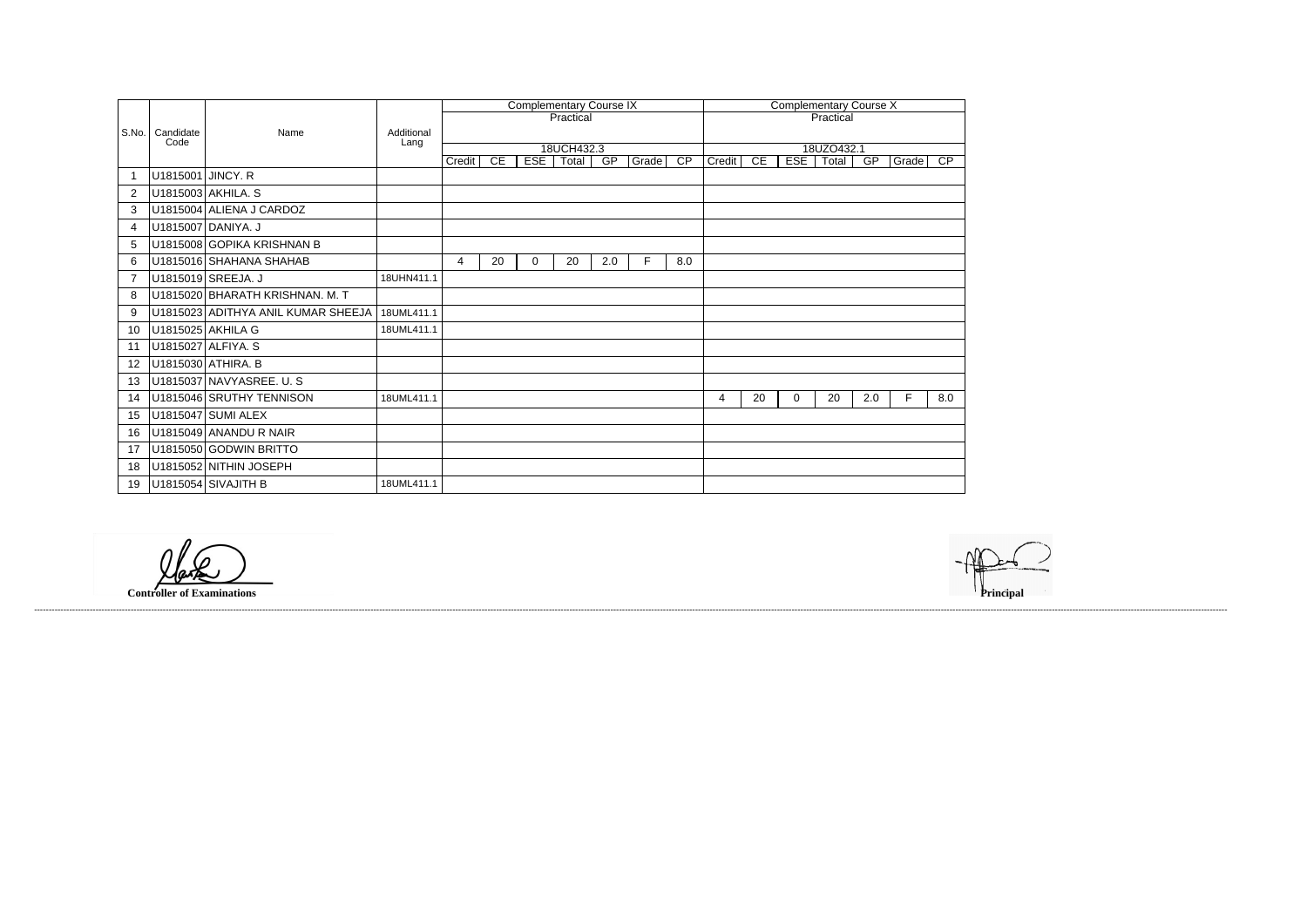|                |                   |                                    |                    |        |    |            | <b>Complementary Course IX</b> |     |       | <b>Complementary Course X</b> |        |    |            |                     |     |       |                 |  |
|----------------|-------------------|------------------------------------|--------------------|--------|----|------------|--------------------------------|-----|-------|-------------------------------|--------|----|------------|---------------------|-----|-------|-----------------|--|
|                |                   |                                    |                    |        |    |            | Practical                      |     |       | Practical                     |        |    |            |                     |     |       |                 |  |
| S.No.          | Candidate<br>Code | Name                               | Additional<br>Lang |        |    |            |                                |     |       |                               |        |    |            |                     |     |       |                 |  |
|                |                   |                                    |                    | Credit | CE | <b>ESE</b> | 18UCH432.3<br>Total            | GP  | Grade | $\overline{CP}$               | Credit | CE | <b>ESE</b> | 18UZO432.1<br>Total | GP  | Grade | $\overline{CP}$ |  |
|                | U1815001 JINCY. R |                                    |                    |        |    |            |                                |     |       |                               |        |    |            |                     |     |       |                 |  |
| $\overline{2}$ |                   | U1815003 AKHILA. S                 |                    |        |    |            |                                |     |       |                               |        |    |            |                     |     |       |                 |  |
| 3              |                   | U1815004 ALIENA J CARDOZ           |                    |        |    |            |                                |     |       |                               |        |    |            |                     |     |       |                 |  |
| 4              |                   | U1815007 DANIYA. J                 |                    |        |    |            |                                |     |       |                               |        |    |            |                     |     |       |                 |  |
| 5              |                   | U1815008 GOPIKA KRISHNAN B         |                    |        |    |            |                                |     |       |                               |        |    |            |                     |     |       |                 |  |
| 6              |                   | U1815016 SHAHANA SHAHAB            |                    | 4      | 20 | 0          | 20                             | 2.0 | F     | 8.0                           |        |    |            |                     |     |       |                 |  |
| $\overline{7}$ |                   | U1815019 SREEJA. J                 | 18UHN411.1         |        |    |            |                                |     |       |                               |        |    |            |                     |     |       |                 |  |
| 8              |                   | U1815020 BHARATH KRISHNAN. M. T    |                    |        |    |            |                                |     |       |                               |        |    |            |                     |     |       |                 |  |
| 9              |                   | U1815023 ADITHYA ANIL KUMAR SHEEJA | 18UML411.1         |        |    |            |                                |     |       |                               |        |    |            |                     |     |       |                 |  |
| 10             |                   | U1815025 AKHILA G                  | 18UML411.1         |        |    |            |                                |     |       |                               |        |    |            |                     |     |       |                 |  |
| 11             |                   | U1815027 ALFIYA. S                 |                    |        |    |            |                                |     |       |                               |        |    |            |                     |     |       |                 |  |
| 12             |                   | U1815030 ATHIRA. B                 |                    |        |    |            |                                |     |       |                               |        |    |            |                     |     |       |                 |  |
| 13             |                   | U1815037 NAVYASREE. U.S            |                    |        |    |            |                                |     |       |                               |        |    |            |                     |     |       |                 |  |
| 14             |                   | U1815046 SRUTHY TENNISON           | 18UML411.1         |        |    |            |                                |     |       |                               | 4      | 20 | 0          | 20                  | 2.0 | F     | 8.0             |  |
| 15             |                   | U1815047 SUMI ALEX                 |                    |        |    |            |                                |     |       |                               |        |    |            |                     |     |       |                 |  |
| 16             |                   | U1815049 ANANDU R NAIR             |                    |        |    |            |                                |     |       |                               |        |    |            |                     |     |       |                 |  |
| 17             |                   | U1815050 GODWIN BRITTO             |                    |        |    |            |                                |     |       |                               |        |    |            |                     |     |       |                 |  |
| 18             |                   | U1815052 NITHIN JOSEPH             |                    |        |    |            |                                |     |       |                               |        |    |            |                     |     |       |                 |  |
| 19             |                   | U1815054 SIVAJITH B                | 18UML411.1         |        |    |            |                                |     |       |                               |        |    |            |                     |     |       |                 |  |

**Controller of Examinations Principal**

------------------------------------------------------------------------------------------------------------------------------------------------------------------------------------------------------------------------------------------------------------------------------------------------------------------------------------------------------------------------------------------------------------------------